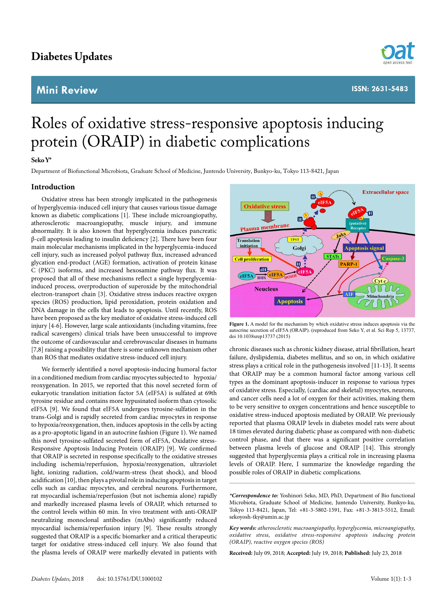# **Diabetes Updates**

# **Mini Review**



# Roles of oxidative stress-responsive apoptosis inducing protein (ORAIP) in diabetic complications

# **Seko Y\***

Department of Biofunctional Microbiota, Graduate School of Medicine, Juntendo University, Bunkyo-ku, Tokyo 113-8421, Japan

# **Introduction**

Oxidative stress has been strongly implicated in the pathogenesis of hyperglycemia-induced cell injury that causes various tissue damage known as diabetic complications [1]. These include microangiopathy, atherosclerotic macroangiopathy, muscle injury, and immune abnormality. It is also known that hyperglycemia induces pancreatic β-cell apoptosis leading to insulin deficiency [2]. There have been four main molecular mechanisms implicated in the hyperglycemia-induced cell injury, such as increased polyol pathway flux, increased advanced glycation end-product (AGE) formation, activation of protein kinase C (PKC) isoforms, and increased hexosamine pathway flux. It was proposed that all of these mechanisms reflect a single hyperglycemiainduced process, overproduction of superoxide by the mitochondrial electron-transport chain [3]. Oxidative stress induces reactive oxygen species (ROS) production, lipid peroxidation, protein oxidation and DNA damage in the cells that leads to apoptosis. Until recently, ROS have been proposed as the key mediator of oxidative stress-induced cell injury [4-6]. However, large scale antioxidants (including vitamins, free radical scavengers) clinical trials have been unsuccessful to improve the outcome of cardiovascular and cerebrovascular diseases in humans [7,8] raising a possibility that there is some unknown mechanism other than ROS that mediates oxidative stress-induced cell injury.

We formerly identified a novel apoptosis-inducing humoral factor in a conditioned medium from cardiac myocytes subjected to hypoxia/ reoxygenation. In 2015, we reported that this novel secreted form of eukaryotic translation initiation factor 5A (eIF5A) is sulfated at 69th tyrosine residue and contains more hypusinated isoform than cytosolic eIF5A [9]. We found that eIF5A undergoes tyrosine-sulfation in the trans-Golgi and is rapidly secreted from cardiac myocytes in response to hypoxia/reoxygenation, then, induces apoptosis in the cells by acting as a pro-apoptotic ligand in an autocrine fashion (Figure 1). We named this novel tyrosine-sulfated secreted form of eIF5A, Oxidative stress-Responsive Apoptosis Inducing Protein (ORAIP) [9]. We confirmed that ORAIP is secreted in response specifically to the oxidative stresses including ischemia/reperfusion, hypoxia/reoxygenation, ultraviolet light, ionizing radiation, cold/warm-stress (heat shock), and blood acidification [10], then plays a pivotal role in inducing apoptosis in target cells such as cardiac myocytes, and cerebral neurons. Furthermore, rat myocardial ischemia/reperfusion (but not ischemia alone) rapidly and markedly increased plasma levels of ORAIP, which returned to the control levels within 60 min. In vivo treatment with anti-ORAIP neutralizing monoclonal antibodies (mAbs) significantly reduced myocardial ischemia/reperfusion injury [9]. These results strongly suggested that ORAIP is a specific biomarker and a critical therapeutic target for oxidative stress-induced cell injury. We also found that the plasma levels of ORAIP were markedly elevated in patients with



**Figure 1.** A model for the mechanism by which oxidative stress induces apoptosis via the autocrine secretion of eIF5A (ORAIP). (reproduced from Seko Y, et al. Sci Rep 5, 13737, doi 10.1038srep13737 (2015)

chronic diseases such as chronic kidney disease, atrial fibrillation, heart failure, dyslipidemia, diabetes mellitus, and so on, in which oxidative stress plays a critical role in the pathogenesis involved [11-13]. It seems that ORAIP may be a common humoral factor among various cell types as the dominant apoptosis-inducer in response to various types of oxidative stress. Especially, (cardiac and skeletal) myocytes, neurons, and cancer cells need a lot of oxygen for their activities, making them to be very sensitive to oxygen concentrations and hence susceptible to oxidative stress-induced apoptosis mediated by ORAIP. We previously reported that plasma ORAIP levels in diabetes model rats were about 18 times elevated during diabetic phase as compared with non-diabetic control phase, and that there was a significant positive correlation between plasma levels of glucose and ORAIP [14]. This strongly suggested that hyperglycemia plays a critical role in increasing plasma levels of ORAIP. Here, I summarize the knowledge regarding the possible roles of ORAIP in diabetic complications.

*\*Correspondence to:* Yoshinori Seko, MD, PhD, Department of Bio functional Microbiota, Graduate School of Medicine, Juntendo University, Bunkyo-ku, Tokyo 113-8421, Japan, Tel: +81-3-5802-1591, Fax: +81-3-3813-5512, Email: [sekoyosh-tky@umin.ac.jp](mailto:sekoyosh-tky@umin.ac.jp)

*Key words: atherosclerotic macroangiopathy, hyperglycemia, microangiopathy, oxidative stress, oxidative stress-responsive apoptosis inducing protein (ORAIP), reactive oxygen species (ROS)*

**Received:** July 09, 2018; **Accepted:** July 19, 2018; **Published:** July 23, 2018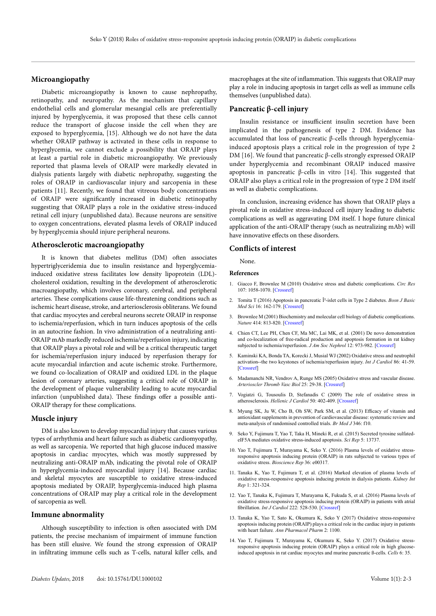### **Microangiopathy**

Diabetic microangiopathy is known to cause nephropathy, retinopathy, and neuropathy. As the mechanism that capillary endothelial cells and glomerular mesangial cells are preferentially injured by hyperglycemia, it was proposed that these cells cannot reduce the transport of glucose inside the cell when they are exposed to hyperglycemia, [15]. Although we do not have the data whether ORAIP pathway is activated in these cells in response to hyperglycemia, we cannot exclude a possibility that ORAIP plays at least a partial role in diabetic microangiopathy. We previously reported that plasma levels of ORAIP were markedly elevated in dialysis patients largely with diabetic nephropathy, suggesting the roles of ORAIP in cardiovascular injury and sarcopenia in these patients [11]. Recently, we found that vitreous body concentrations of ORAIP were significantly increased in diabetic retinopathy suggesting that ORAIP plays a role in the oxidative stress-induced retinal cell injury (unpublished data). Because neurons are sensitive to oxygen concentrations, elevated plasma levels of ORAIP induced by hyperglycemia should injure peripheral neurons.

#### **Atherosclerotic macroangiopathy**

It is known that diabetes mellitus (DM) often associates hypertriglyceridemia due to insulin resistance and hyperglycemiainduced oxidative stress facilitates low density lipoprotein (LDL) cholesterol oxidation, resulting in the development of atherosclerotic macroangiopathy, which involves coronary, cerebral, and peripheral arteries. These complications cause life-threatening conditions such as ischemic heart disease, stroke, and arteriosclerosis obliterans. We found that cardiac myocytes and cerebral neurons secrete ORAIP in response to ischemia/reperfusion, which in turn induces apoptosis of the cells in an autocrine fashion. In vivo administration of a neutralizing anti-ORAIP mAb markedly reduced ischemia/reperfusion injury, indicating that ORAIP plays a pivotal role and will be a critical therapeutic target for ischemia/reperfusion injury induced by reperfusion therapy for acute myocardial infarction and acute ischemic stroke. Furthermore, we found co-localization of ORAIP and oxidized LDL in the plaque lesion of coronary arteries, suggesting a critical role of ORAIP in the development of plaque vulnerability leading to acute myocardial infarction (unpublished data). These findings offer a possible anti-ORAIP therapy for these complications.

#### **Muscle injury**

DM is also known to develop myocardial injury that causes various types of arrhythmia and heart failure such as diabetic cardiomyopathy, as well as sarcopenia. We reported that high glucose induced massive apoptosis in cardiac myocytes, which was mostly suppressed by neutralizing anti-ORAIP mAb, indicating the pivotal role of ORAIP in hyperglycemia-induced myocardial injury [14]. Because cardiac and skeletal myocytes are susceptible to oxidative stress-induced apoptosis mediated by ORAIP, hyperglycemia-induced high plasma concentrations of ORAIP may play a critical role in the development of sarcopenia as well.

#### **Immune abnormality**

Although susceptibility to infection is often associated with DM patients, the precise mechanism of impairment of immune function has been still elusive. We found the strong expression of ORAIP in infiltrating immune cells such as T-cells, natural killer cells, and

# **Pancreatic β-cell injury**

Insulin resistance or insufficient insulin secretion have been implicated in the pathogenesis of type 2 DM. Evidence has accumulated that loss of pancreatic β-cells through hyperglycemiainduced apoptosis plays a critical role in the progression of type 2 DM [16]. We found that pancreatic β-cells strongly expressed ORAIP under hyperglycemia and recombinant ORAIP induced massive apoptosis in pancreatic β-cells in vitro [14]. This suggested that ORAIP also plays a critical role in the progression of type 2 DM itself as well as diabetic complications.

In conclusion, increasing evidence has shown that ORAIP plays a pivotal role in oxidative stress-induced cell injury leading to diabetic complications as well as aggravating DM itself. I hope future clinical application of the anti-ORAIP therapy (such as neutralizing mAb) will have innovative effects on these disorders.

#### **Conflicts of interest**

None.

#### **References**

- 1. Giacco F, Brownlee M (2010) Oxidative stress and diabetic complications. *Circ Res*  107: 1058-1070. [\[Crossref\]](http://www.ncbi.nlm.nih.gov/pubmed/21030723)
- 2. Tomita T (2016) Apoptosis in pancreatic β-islet cells in Type 2 diabetes. *Bosn J Basic Med Sci* 16: 162-179. [\[Crossref\]](http://www.ncbi.nlm.nih.gov/pubmed/27209071)
- 3. Brownlee M (2001) Biochemistry and molecular cell biology of diabetic complications. *Nature* 414: 813-820. [\[Crossref\]](http://www.ncbi.nlm.nih.gov/pubmed/11742414)
- 4. Chien CT, Lee PH, Chen CF, Ma MC, Lai MK, et al. (2001) De novo demonstration and co-localization of free-radical production and apoptosis formation in rat kidney subjected to ischemia/reperfusion. *J Am Soc Nephrol* 12: 973-982. [\[Crossref\]](https://www.ncbi.nlm.nih.gov/pubmed/11316856)
- 5. Kaminski KA, Bonda TA, Korecki J, Musial WJ (2002) Oxidative stress and neutrophil activation--the two keystones of ischemia/reperfusion injury. *Int J Cardiol* 86: 41-59. [\[Crossref\]](http://www.ncbi.nlm.nih.gov/pubmed/12243849)
- 6. Madamanchi NR, Vendrov A, Runge MS (2005) Oxidative stress and vascular disease. *Arterioscler Thromb Vasc Biol* 25: 29-38. [\[Crossref\]](http://www.ncbi.nlm.nih.gov/pubmed/15539615)
- 7. Vogiatzi G, Tousoulis D, Stefanadis C (2009) The role of oxidative stress in atherosclerosis. *Hellenic J Cardiol* 50: 402-409. [\[Crossref\]](http://www.ncbi.nlm.nih.gov/pubmed/19767282)
- 8. Myung SK, Ju W, Cho B, Oh SW, Park SM, et al. (2013) Efficacy of vitamin and antioxidant supplements in prevention of cardiovascular disease: systematic review and meta-analysis of randomised controlled trials. *Br Med J* 346: f10.
- 9. Seko Y, Fujimura T, Yao T, Taka H, Mineki R, et al. (2015) Secreted tyrosine sulfatedeIF5A mediates oxidative stress-induced apoptosis. *Sci Rep* 5: 13737.
- 10. Yao T, Fujimura T, Murayama K, Seko Y. (2016) Plasma levels of oxidative stressresponsive apoptosis inducing protein (ORAIP) in rats subjected to various types of oxidative stress. *Bioscience Rep* 36: e00317.
- 11. Tanaka K, Yao T, Fujimura T, et al. (2016) Marked elevation of plasma levels of oxidative stress-responsive apoptosis inducing protein in dialysis patients. *Kidney Int Rep* 1: 321-324.
- 12. Yao T, Tanaka K, Fujimura T, Murayama K, Fukuda S, et al. (2016) Plasma levels of oxidative stress-responsive apoptosis inducing protein (ORAIP) in patients with atrial fibrillation. *Int J Cardiol* 222: 528-530. [\[Crossref\]](http://www.ncbi.nlm.nih.gov/pubmed/27509221)
- 13. Tanaka K, Yao T, Sato K, Okumura K, Seko Y (2017) Oxidative stress-responsive apoptosis inducing protein (ORAIP) plays a critical role in the cardiac injury in patients with heart failure*. Ann Pharmacol Pharm* 2: 1100.
- 14. Yao T, Fujimura T, Murayama K, Okumura K, Seko Y. (2017) Oxidative stressresponsive apoptosis inducing protein (ORAIP) plays a critical role in high glucoseinduced apoptosis in rat cardiac myocytes and murine pancreatic ß-cells. *Cells* 6: 35.